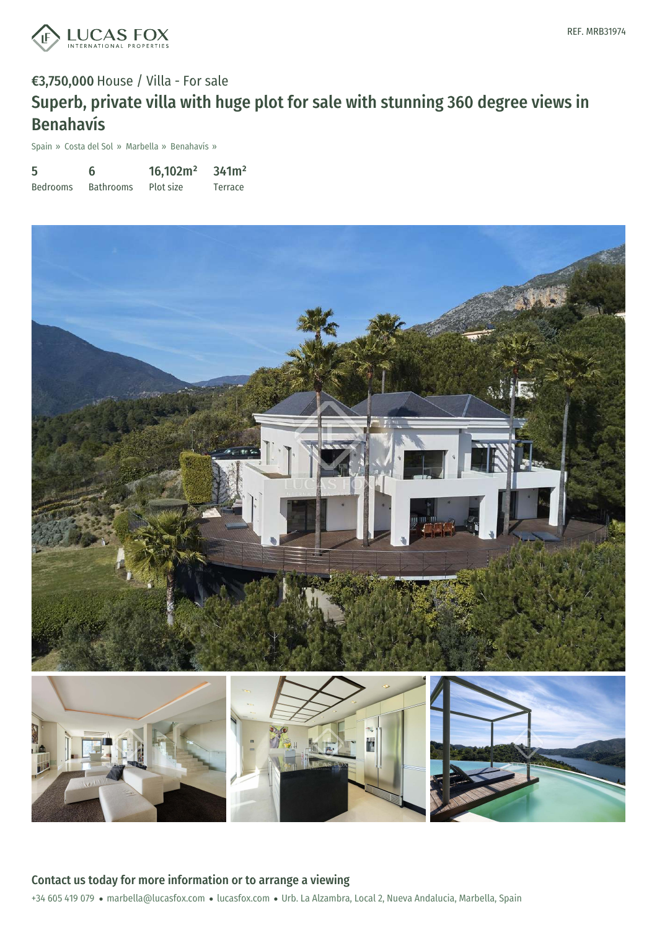

# €3,750,000 House / Villa - For sale Superb, private villa with huge plot for sale with stunning 360 degree views in Benahavís

Spain » Costa del Sol » Marbella » Benahavís »

| 5               | 6                | 16,102m <sup>2</sup> | 341m <sup>2</sup> |
|-----------------|------------------|----------------------|-------------------|
| <b>Bedrooms</b> | <b>Bathrooms</b> | Plot size            | Terrace           |



+34 605 419 079 · marbella@lucasfox.com · lucasfox.com · Urb. La Alzambra, Local 2, Nueva Andalucia, Marbella, Spain Contact us today for more information or to arrange a viewing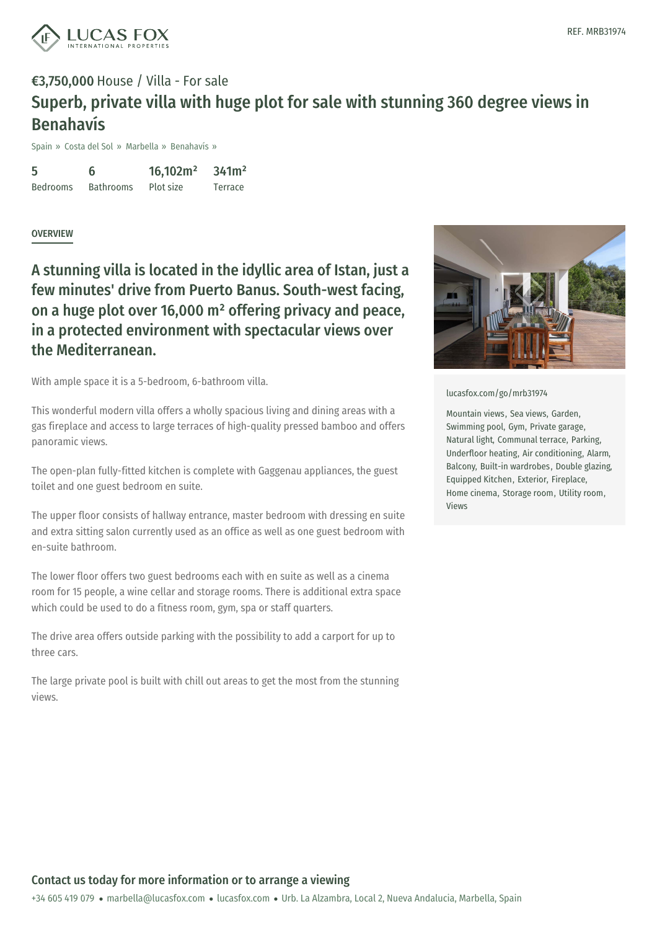

## €3,750,000 House / Villa - For sale Superb, private villa with huge plot for sale with stunning 360 degree views in Benahavís

Spain » Costa del Sol » Marbella » Benahavís »

5 Bedrooms 6 Bathrooms 16,102m² Plot size 341m² Terrace

#### **OVERVIEW**

A stunning villa is located in the idyllic area of Istan, just a few minutes' drive from Puerto Banus. South-west facing, on a huge plot over 16,000 m² offering privacy and peace, in a protected environment with spectacular views over the Mediterranean.

With ample space it is a 5-bedroom, 6-bathroom villa.

This wonderful modern villa offers a wholly spacious living and dining areas with a gas fireplace and access to large terraces of high-quality pressed bamboo and offers panoramic views.

The open-plan fully-fitted kitchen is complete with Gaggenau appliances, the guest toilet and one guest bedroom en suite.

The upper floor consists of hallway entrance, master bedroom with dressing en suite and extra sitting salon currently used as an office as well as one guest bedroom with en-suite bathroom.

The lower floor offers two guest bedrooms each with en suite as well as a cinema room for 15 people, a wine cellar and storage rooms. There is additional extra space which could be used to do a fitness room, gym, spa or staff quarters.

The drive area offers outside parking with the possibility to add a carport for up to three cars.

The large private pool is [built](mailto:marbella@lucasfox.com) with chill out [areas](https://www.lucasfox.com) to get the most from the stunning views.



[lucasfox.com/go/mrb31974](https://www.lucasfox.com/go/mrb31974)

Mountain views, Sea views, Garden, Swimming pool, Gym, Private garage, Natural light, Communal terrace, Parking, Underfloor heating, Air conditioning, Alarm, Balcony, Built-in wardrobes, Double glazing, Equipped Kitchen, Exterior, Fireplace, Home cinema, Storage room, Utility room, Views

### Contact us today for more information or to arrange a viewing

+34 605 419 079 · marbella@lucasfox.com · lucasfox.com · Urb. La Alzambra, Local 2, Nueva Andalucia, Marbella, Spain